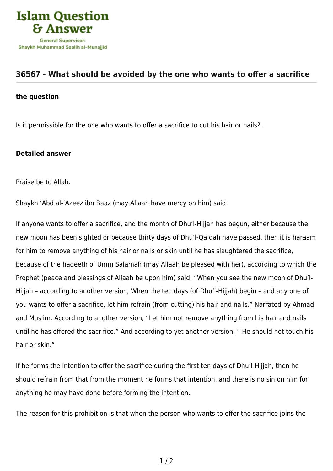

## **[36567 - What should be avoided by the one who wants to offer a sacrifice](https://islamqa.com/en/answers/36567/what-should-be-avoided-by-the-one-who-wants-to-offer-a-sacrifice)**

## **the question**

Is it permissible for the one who wants to offer a sacrifice to cut his hair or nails?.

## **Detailed answer**

Praise be to Allah.

Shaykh 'Abd al-'Azeez ibn Baaz (may Allaah have mercy on him) said:

If anyone wants to offer a sacrifice, and the month of Dhu'l-Hijjah has begun, either because the new moon has been sighted or because thirty days of Dhu'l-Qa'dah have passed, then it is haraam for him to remove anything of his hair or nails or skin until he has slaughtered the sacrifice, because of the hadeeth of Umm Salamah (may Allaah be pleased with her), according to which the Prophet (peace and blessings of Allaah be upon him) said: "When you see the new moon of Dhu'l-Hijjah – according to another version, When the ten days (of Dhu'l-Hijjah) begin – and any one of you wants to offer a sacrifice, let him refrain (from cutting) his hair and nails." Narrated by Ahmad and Muslim. According to another version, "Let him not remove anything from his hair and nails until he has offered the sacrifice." And according to yet another version, " He should not touch his hair or skin."

If he forms the intention to offer the sacrifice during the first ten days of Dhu'l-Hijjah, then he should refrain from that from the moment he forms that intention, and there is no sin on him for anything he may have done before forming the intention.

The reason for this prohibition is that when the person who wants to offer the sacrifice joins the